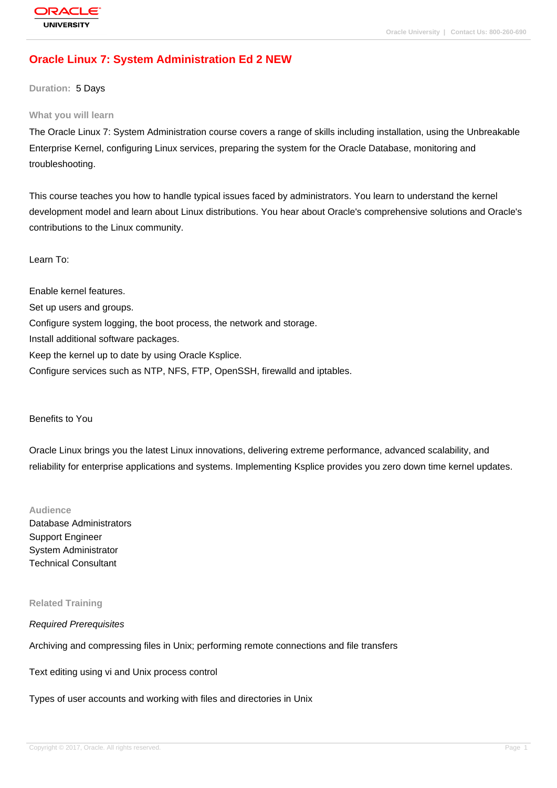# **[Oracle Linux 7](http://education.oracle.com/pls/web_prod-plq-dad/db_pages.getpage?page_id=3): System Administration Ed 2 NEW**

**Duration:** 5 Days

#### **What you will learn**

The Oracle Linux 7: System Administration course covers a range of skills including installation, using the Unbreakable Enterprise Kernel, configuring Linux services, preparing the system for the Oracle Database, monitoring and troubleshooting.

This course teaches you how to handle typical issues faced by administrators. You learn to understand the kernel development model and learn about Linux distributions. You hear about Oracle's comprehensive solutions and Oracle's contributions to the Linux community.

## Learn To:

Enable kernel features. Set up users and groups. Configure system logging, the boot process, the network and storage. Install additional software packages. Keep the kernel up to date by using Oracle Ksplice. Configure services such as NTP, NFS, FTP, OpenSSH, firewalld and iptables.

#### Benefits to You

Oracle Linux brings you the latest Linux innovations, delivering extreme performance, advanced scalability, and reliability for enterprise applications and systems. Implementing Ksplice provides you zero down time kernel updates.

### **Audience**

Database Administrators Support Engineer System Administrator Technical Consultant

#### **Related Training**

#### Required Prerequisites

Archiving and compressing files in Unix; performing remote connections and file transfers

Text editing using vi and Unix process control

Types of user accounts and working with files and directories in Unix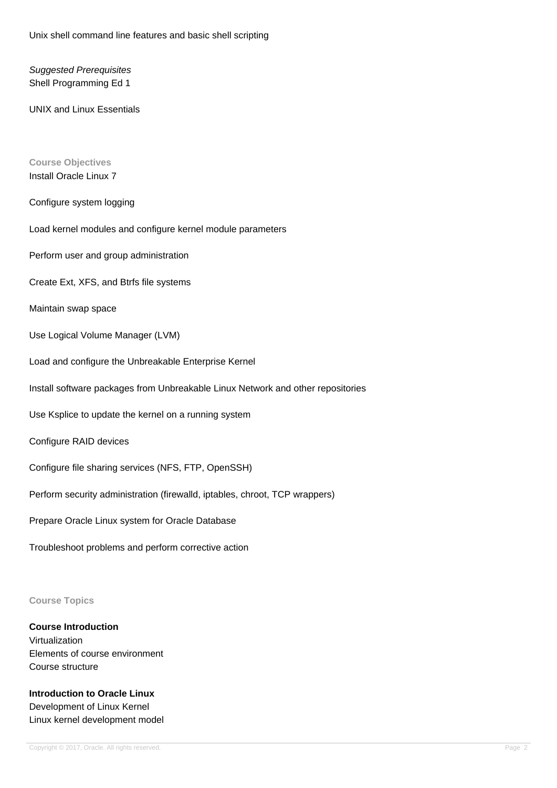Unix shell command line features and basic shell scripting

Suggested Prerequisites Shell Programming Ed 1

UNIX and Linux Essentials

## **Course Objectives** Install Oracle Linux 7

### Configure system logging

Load kernel modules and configure kernel module parameters

Perform user and group administration

Create Ext, XFS, and Btrfs file systems

Maintain swap space

Use Logical Volume Manager (LVM)

Load and configure the Unbreakable Enterprise Kernel

Install software packages from Unbreakable Linux Network and other repositories

Use Ksplice to update the kernel on a running system

Configure RAID devices

Configure file sharing services (NFS, FTP, OpenSSH)

Perform security administration (firewalld, iptables, chroot, TCP wrappers)

Prepare Oracle Linux system for Oracle Database

Troubleshoot problems and perform corrective action

#### **Course Topics**

**Course Introduction** Virtualization Elements of course environment Course structure

**Introduction to Oracle Linux** Development of Linux Kernel Linux kernel development model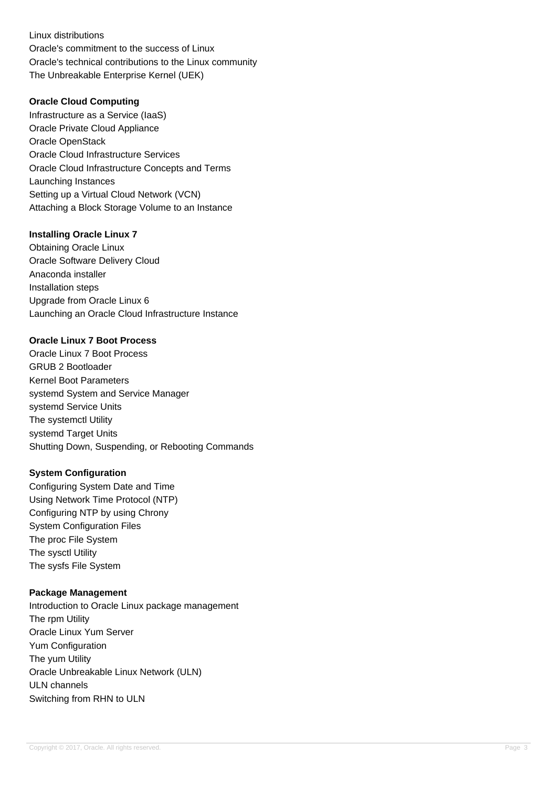Linux distributions Oracle's commitment to the success of Linux Oracle's technical contributions to the Linux community The Unbreakable Enterprise Kernel (UEK)

### **Oracle Cloud Computing**

Infrastructure as a Service (IaaS) Oracle Private Cloud Appliance Oracle OpenStack Oracle Cloud Infrastructure Services Oracle Cloud Infrastructure Concepts and Terms Launching Instances Setting up a Virtual Cloud Network (VCN) Attaching a Block Storage Volume to an Instance

## **Installing Oracle Linux 7**

Obtaining Oracle Linux Oracle Software Delivery Cloud Anaconda installer Installation steps Upgrade from Oracle Linux 6 Launching an Oracle Cloud Infrastructure Instance

## **Oracle Linux 7 Boot Process**

Oracle Linux 7 Boot Process GRUB 2 Bootloader Kernel Boot Parameters systemd System and Service Manager systemd Service Units The systemctl Utility systemd Target Units Shutting Down, Suspending, or Rebooting Commands

### **System Configuration**

Configuring System Date and Time Using Network Time Protocol (NTP) Configuring NTP by using Chrony System Configuration Files The proc File System The sysctl Utility The sysfs File System

### **Package Management**

Introduction to Oracle Linux package management The rpm Utility Oracle Linux Yum Server Yum Configuration The yum Utility Oracle Unbreakable Linux Network (ULN) ULN channels Switching from RHN to ULN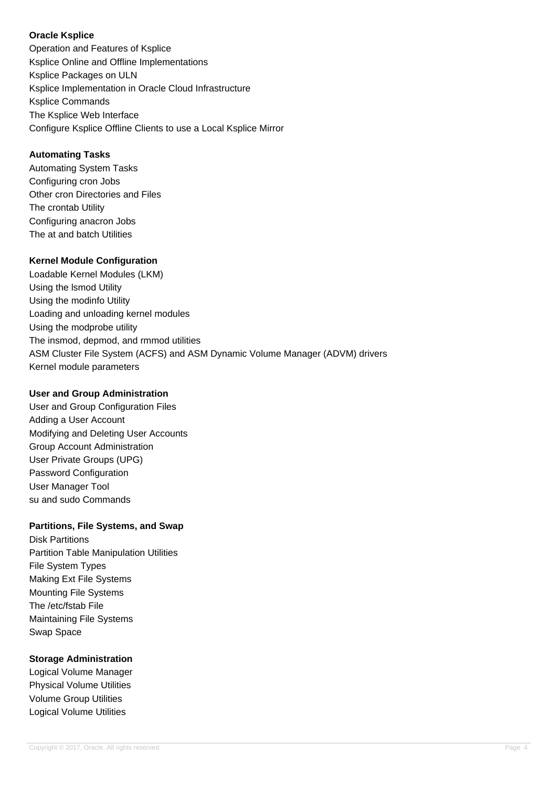## **Oracle Ksplice**

Operation and Features of Ksplice Ksplice Online and Offline Implementations Ksplice Packages on ULN Ksplice Implementation in Oracle Cloud Infrastructure Ksplice Commands The Ksplice Web Interface Configure Ksplice Offline Clients to use a Local Ksplice Mirror

# **Automating Tasks**

Automating System Tasks Configuring cron Jobs Other cron Directories and Files The crontab Utility Configuring anacron Jobs The at and batch Utilities

# **Kernel Module Configuration**

Loadable Kernel Modules (LKM) Using the lsmod Utility Using the modinfo Utility Loading and unloading kernel modules Using the modprobe utility The insmod, depmod, and rmmod utilities ASM Cluster File System (ACFS) and ASM Dynamic Volume Manager (ADVM) drivers Kernel module parameters

## **User and Group Administration**

User and Group Configuration Files Adding a User Account Modifying and Deleting User Accounts Group Account Administration User Private Groups (UPG) Password Configuration User Manager Tool su and sudo Commands

# **Partitions, File Systems, and Swap**

Disk Partitions Partition Table Manipulation Utilities File System Types Making Ext File Systems Mounting File Systems The /etc/fstab File Maintaining File Systems Swap Space

# **Storage Administration**

Logical Volume Manager Physical Volume Utilities Volume Group Utilities Logical Volume Utilities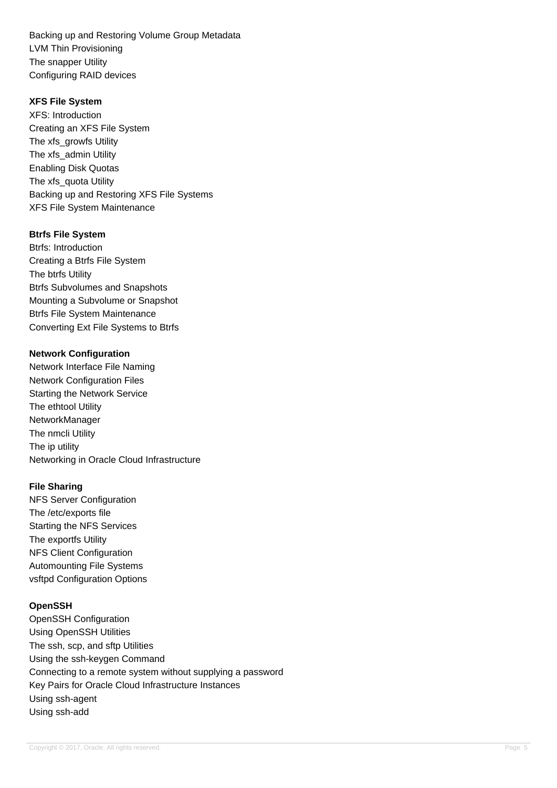Backing up and Restoring Volume Group Metadata LVM Thin Provisioning The snapper Utility Configuring RAID devices

### **XFS File System**

XFS: Introduction Creating an XFS File System The xfs\_growfs Utility The xfs\_admin Utility Enabling Disk Quotas The xfs\_quota Utility Backing up and Restoring XFS File Systems XFS File System Maintenance

## **Btrfs File System**

Btrfs: Introduction Creating a Btrfs File System The btrfs Utility Btrfs Subvolumes and Snapshots Mounting a Subvolume or Snapshot Btrfs File System Maintenance Converting Ext File Systems to Btrfs

## **Network Configuration**

Network Interface File Naming Network Configuration Files Starting the Network Service The ethtool Utility NetworkManager The nmcli Utility The ip utility Networking in Oracle Cloud Infrastructure

## **File Sharing**

NFS Server Configuration The /etc/exports file Starting the NFS Services The exportfs Utility NFS Client Configuration Automounting File Systems vsftpd Configuration Options

### **OpenSSH**

OpenSSH Configuration Using OpenSSH Utilities The ssh, scp, and sftp Utilities Using the ssh-keygen Command Connecting to a remote system without supplying a password Key Pairs for Oracle Cloud Infrastructure Instances Using ssh-agent Using ssh-add